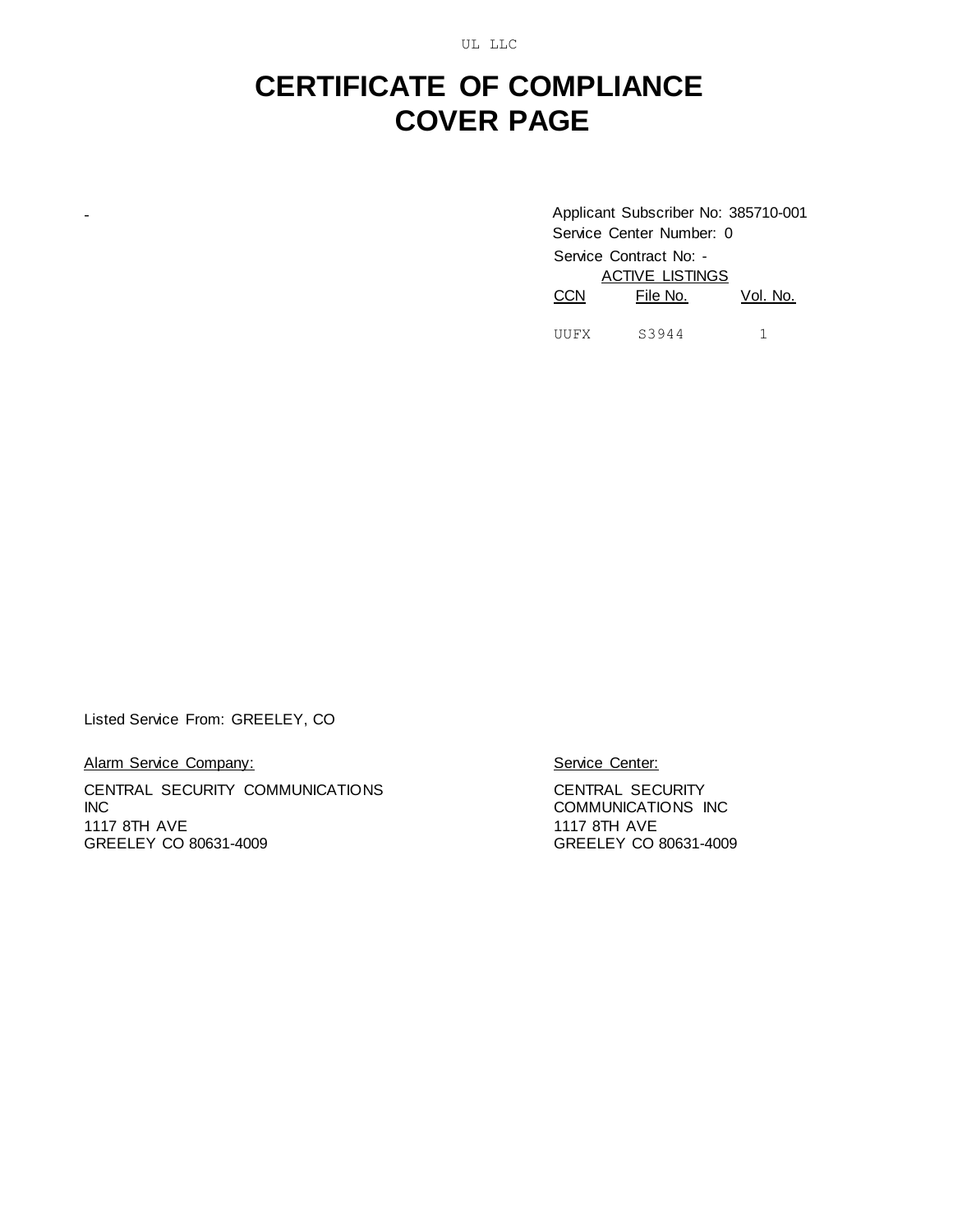UL LLC

## **CERTIFICATE OF COMPLIANCE COVER PAGE**

- Applicant Subscriber No: 385710-001 Service Center Number: 0 Service Contract No: - **ACTIVE LISTINGS** CCN File No. Vol. No. UUFX S3944 1

Listed Service From: GREELEY, CO

Alarm Service Company:

CENTRAL SECURITY COMMUNICATIONS INC 1117 8TH AVE GREELEY CO 80631-4009

Service Center:

CENTRAL SECURITY COMMUNICATIONS INC 1117 8TH AVE GREELEY CO 80631-4009